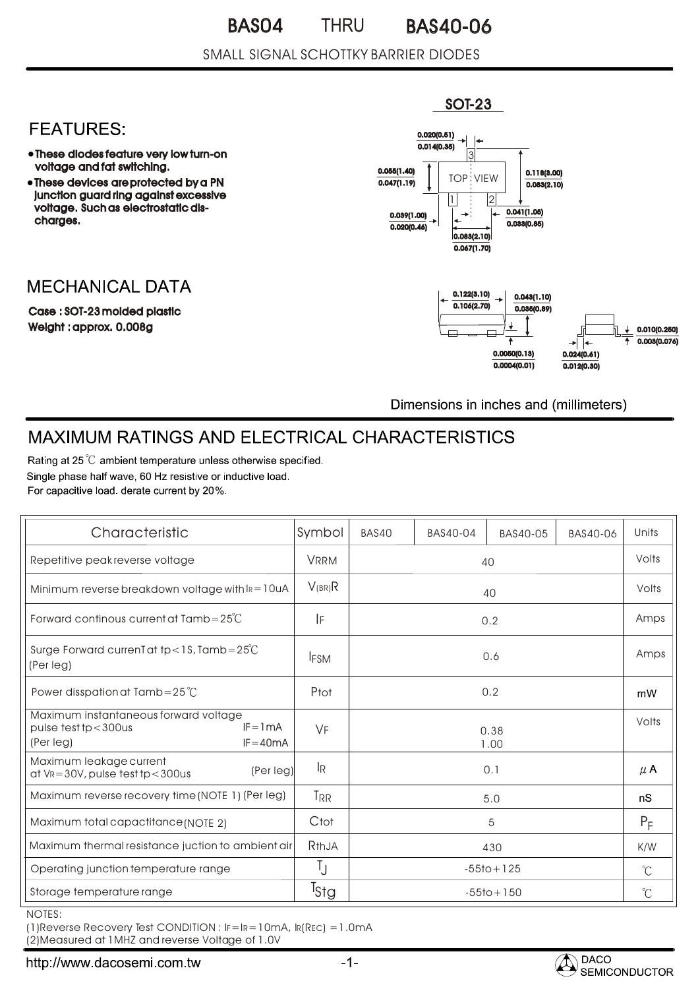#### BAS04 THRU BAS40-06 THRU

#### SMALL SIGNAL SCHOTTKY BARRIER DIODES

### **FEATURES:**

- These diodes feature very low turn-on voltage and fat switching.
- These devices are protected by a PN junction guard ring against excessive voltage. Such as electrostatic discharges.

# **MECHANICAL DATA**

Case : SOT-23 molded plastic Weight : approx. 0.008g



Dimensions in inches and (millimeters)

# **MAXIMUM RATINGS AND ELECTRICAL CHARACTERISTICS**

Rating at 25 °C ambient temperature unless otherwise specified. Single phase half wave, 60 Hz resistive or inductive load. For capacitive load, derate current by 20%.

| Characteristic                                                                                             | Symbol           | BAS40 | BAS40-04 | BAS40-05       | BAS40-06 | Units                |
|------------------------------------------------------------------------------------------------------------|------------------|-------|----------|----------------|----------|----------------------|
| Repetitive peak reverse voltage                                                                            | <b>VRRM</b>      | 40    |          |                | Volts    |                      |
| Minimum reverse breakdown voltage with $I_R = 10uA$                                                        | $V_{(BR)}R$      | 40    |          |                | Volts    |                      |
| Forward continous current at $Tamb = 25^{\circ}C$                                                          | IF               |       |          | 0.2            |          | Amps                 |
| Surge Forward current at tp < 1S, Tamb = $25^{\circ}$ C<br>(Per leg)                                       | <b>IFSM</b>      | 0.6   |          |                | Amps     |                      |
| Power disspation at Tamb=25 $^{\circ}$ C                                                                   | Ptot             | 0.2   |          | mW             |          |                      |
| Maximum instantaneous forward voltage<br>$IF = ImA$<br>pulse $testtp < 300$ us<br>(Per leg)<br>$IF = 40mA$ | VF               |       |          | 0.38<br>1.00   |          | Volts                |
| Maximum leakage current<br>(Per leg)<br>at $V_R = 30V$ , pulse test tp $<$ 300us                           | l <sub>R</sub>   |       |          | 0.1            |          | $\mu$ A              |
| Maximum reverse recovery time (NOTE 1) (Per leg)                                                           | T <sub>RR</sub>  |       |          | 5.0            |          | nS                   |
| Maximum total capactitance (NOTE 2)                                                                        | Ctot             |       |          | 5              |          | $P_F$                |
| Maximum thermal resistance juction to ambient air                                                          | RthJA            |       |          | 430            |          | K/W                  |
| Operating junction temperature range                                                                       | Ţ                |       |          | $-55$ to + 125 |          | $\mathrm{C}^{\circ}$ |
| Storage temperature range                                                                                  | <sup>T</sup> Stg |       |          | $-55$ to + 150 |          | $\mathrm{C}^{\circ}$ |

NOTES:

(1)Reverse Recovery Test CONDITION : IF=IR=10mA, IR(REC) =1.0mA

(2)Measured at 1MHZ and reverse Voltage of 1.0V



SOT-23